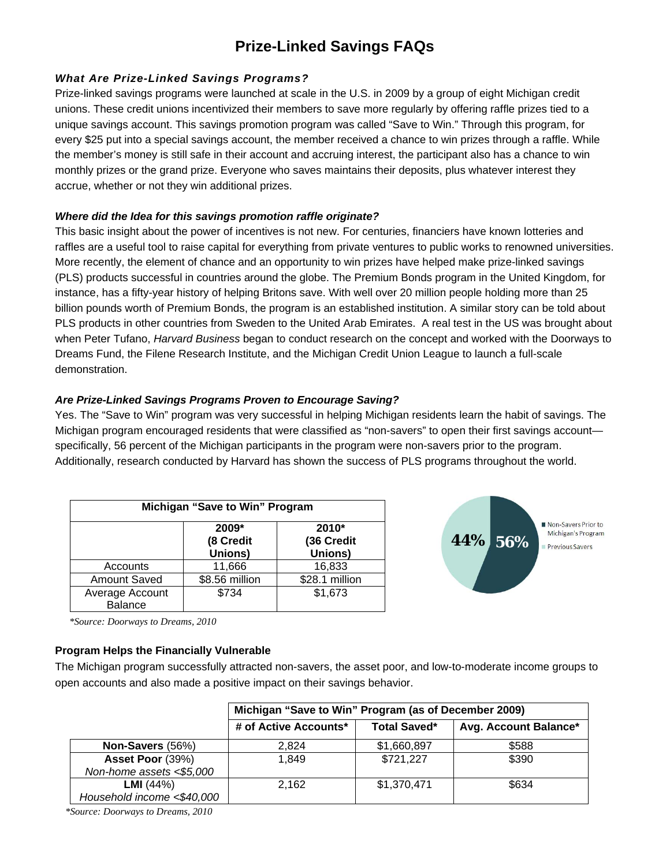# **Prize-Linked Savings FAQs**

# *What Are Prize-Linked Savings Programs?*

Prize-linked savings programs were launched at scale in the U.S. in 2009 by a group of eight Michigan credit unions. These credit unions incentivized their members to save more regularly by offering raffle prizes tied to a unique savings account. This savings promotion program was called "Save to Win." Through this program, for every \$25 put into a special savings account, the member received a chance to win prizes through a raffle. While the member's money is still safe in their account and accruing interest, the participant also has a chance to win monthly prizes or the grand prize. Everyone who saves maintains their deposits, plus whatever interest they accrue, whether or not they win additional prizes.

## *Where did the Idea for this savings promotion raffle originate?*

This basic insight about the power of incentives is not new. For centuries, financiers have known lotteries and raffles are a useful tool to raise capital for everything from private ventures to public works to renowned universities. More recently, the element of chance and an opportunity to win prizes have helped make prize-linked savings (PLS) products successful in countries around the globe. The Premium Bonds program in the United Kingdom, for instance, has a fifty-year history of helping Britons save. With well over 20 million people holding more than 25 billion pounds worth of Premium Bonds, the program is an established institution. A similar story can be told about PLS products in other countries from Sweden to the United Arab Emirates. A real test in the US was brought about when Peter Tufano, *Harvard Business* began to conduct research on the concept and worked with the Doorways to Dreams Fund, the Filene Research Institute, and the Michigan Credit Union League to launch a full-scale demonstration.

## *Are Prize-Linked Savings Programs Proven to Encourage Saving?*

Yes. The "Save to Win" program was very successful in helping Michigan residents learn the habit of savings. The Michigan program encouraged residents that were classified as "non-savers" to open their first savings account specifically, 56 percent of the Michigan participants in the program were non-savers prior to the program. Additionally, research conducted by Harvard has shown the success of PLS programs throughout the world.

| Michigan "Save to Win" Program    |                               |                                |  |  |
|-----------------------------------|-------------------------------|--------------------------------|--|--|
|                                   | 2009*<br>(8 Credit<br>Unions) | 2010*<br>(36 Credit<br>Unions) |  |  |
| Accounts                          | 11,666                        | 16,833                         |  |  |
| <b>Amount Saved</b>               | \$8.56 million                | \$28.1 million                 |  |  |
| Average Account<br><b>Balance</b> | \$734                         | \$1,673                        |  |  |



*\*Source: Doorways to Dreams, 2010* 

## **Program Helps the Financially Vulnerable**

The Michigan program successfully attracted non-savers, the asset poor, and low-to-moderate income groups to open accounts and also made a positive impact on their savings behavior.

|                            | Michigan "Save to Win" Program (as of December 2009) |                     |                       |
|----------------------------|------------------------------------------------------|---------------------|-----------------------|
|                            | # of Active Accounts*                                | <b>Total Saved*</b> | Avg. Account Balance* |
| Non-Savers (56%)           | 2.824                                                | \$1,660,897         | \$588                 |
| Asset Poor (39%)           | 1.849                                                | \$721,227           | \$390                 |
| Non-home assets <\$5,000   |                                                      |                     |                       |
| <b>LMI</b> $(44%)$         | 2,162                                                | \$1,370,471         | \$634                 |
| Household income <\$40,000 |                                                      |                     |                       |

*\*Source: Doorways to Dreams, 2010*